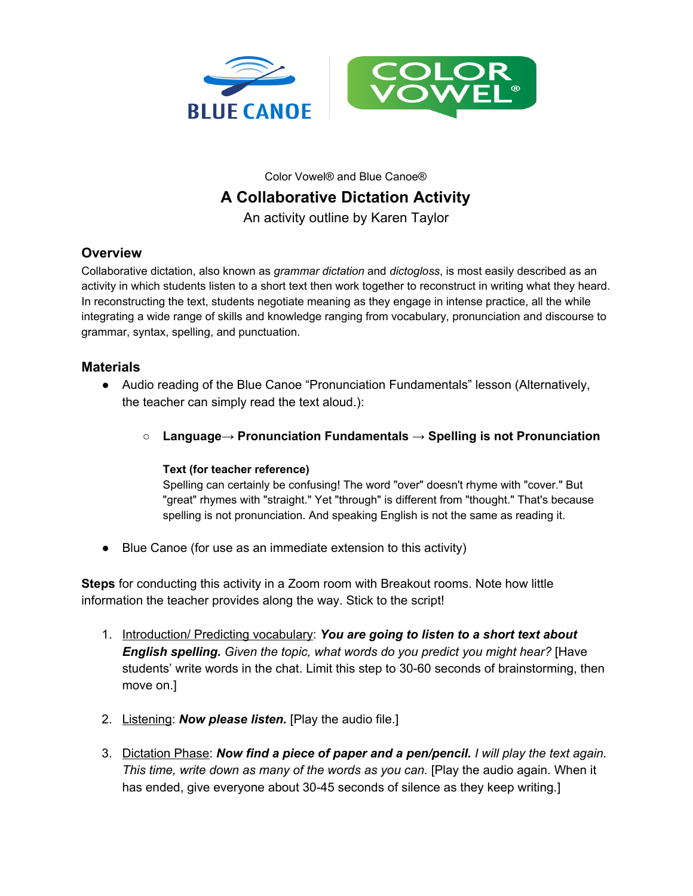

Color Vowel® and Blue Canoe®

## **A Collaborative Dictation Activity**

An activity outline by Karen Taylor

## **Overview**

Collaborative dictation, also known as *grammar dictation* and *dictogloss*, is most easily described as an activity in which students listen to a short text then work together to reconstruct in writing what they heard. In reconstructing the text, students negotiate meaning as they engage in intense practice, all the while integrating a wide range of skills and knowledge ranging from vocabulary, pronunciation and discourse to grammar, syntax, spelling, and punctuation.

## **Materials**

- Audio reading of the Blue Canoe "Pronunciation Fundamentals" lesson (Alternatively, the teacher can simply read the text aloud.):
	- **Language→ Pronunciation Fundamentals → Spelling is not Pronunciation**

## **Text (for teacher reference)**

Spelling can certainly be confusing! The word "over" doesn't rhyme with "cover." But "great" rhymes with "straight." Yet "through" is different from "thought." That's because spelling is not pronunciation. And speaking English is not the same as reading it.

● Blue Canoe (for use as an immediate extension to this activity)

**Steps** for conducting this activity in a Zoom room with Breakout rooms. Note how little information the teacher provides along the way. Stick to the script!

- 1. Introduction/ Predicting vocabulary: *You are going to listen to a short text about English spelling. Given the topic, what words do you predict you might hear?* [Have students' write words in the chat. Limit this step to 30-60 seconds of brainstorming, then move on.]
- 2. Listening: *Now please listen.* [Play the audio file.]
- 3. Dictation Phase: *Now find a piece of paper and a pen/pencil. I will play the text again. This time, write down as many of the words as you can.* [Play the audio again. When it has ended, give everyone about 30-45 seconds of silence as they keep writing.]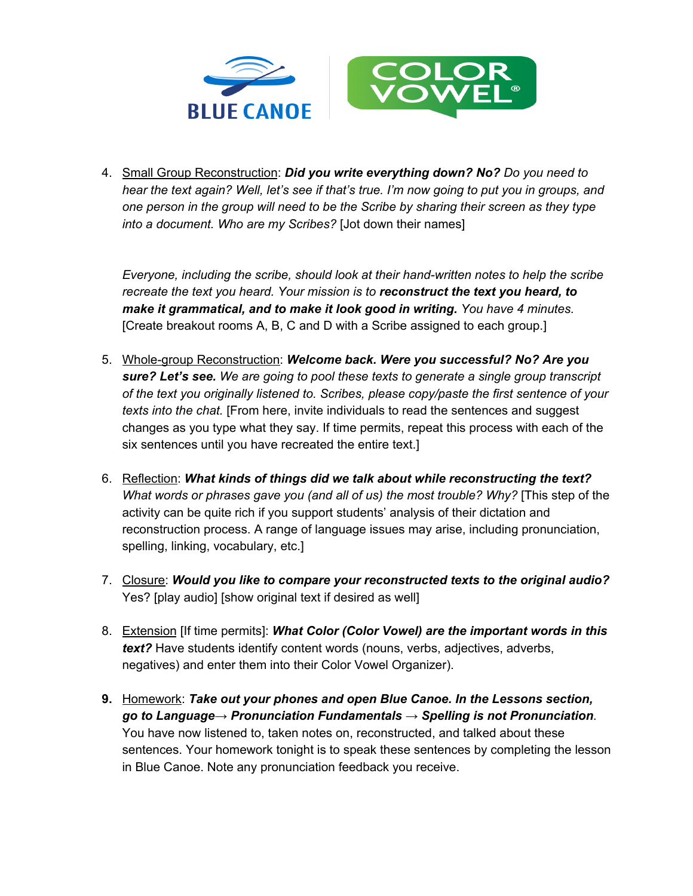

4. Small Group Reconstruction: *Did you write everything down? No? Do you need to* hear the text again? Well, let's see if that's true. I'm now going to put you in groups, and *one person in the group will need to be the Scribe by sharing their screen as they type into a document. Who are my Scribes?* [Jot down their names]

*Everyone, including the scribe, should look at their hand-written notes to help the scribe recreate the text you heard. Your mission is to reconstruct the text you heard, to make it grammatical, and to make it look good in writing. You have 4 minutes.* [Create breakout rooms A, B, C and D with a Scribe assigned to each group.]

- 5. Whole-group Reconstruction: *Welcome back. Were you successful? No? Are you sure? Let's see. We are going to pool these texts to generate a single group transcript of the text you originally listened to. Scribes, please copy/paste the first sentence of your texts into the chat.* [From here, invite individuals to read the sentences and suggest changes as you type what they say. If time permits, repeat this process with each of the six sentences until you have recreated the entire text.]
- 6. Reflection: *What kinds of things did we talk about while reconstructing the text? What words or phrases gave you (and all of us) the most trouble? Why?* [This step of the activity can be quite rich if you support students' analysis of their dictation and reconstruction process. A range of language issues may arise, including pronunciation, spelling, linking, vocabulary, etc.]
- 7. Closure: *Would you like to compare your reconstructed texts to the original audio?* Yes? [play audio] [show original text if desired as well]
- 8. Extension [If time permits]: *What Color (Color Vowel) are the important words in this text?* Have students identify content words (nouns, verbs, adjectives, adverbs, negatives) and enter them into their Color Vowel Organizer).
- **9.** Homework: *Take out your phones and open Blue Canoe. In the Lessons section, go to Language→ Pronunciation Fundamentals → Spelling is not Pronunciation.* You have now listened to, taken notes on, reconstructed, and talked about these sentences. Your homework tonight is to speak these sentences by completing the lesson in Blue Canoe. Note any pronunciation feedback you receive.